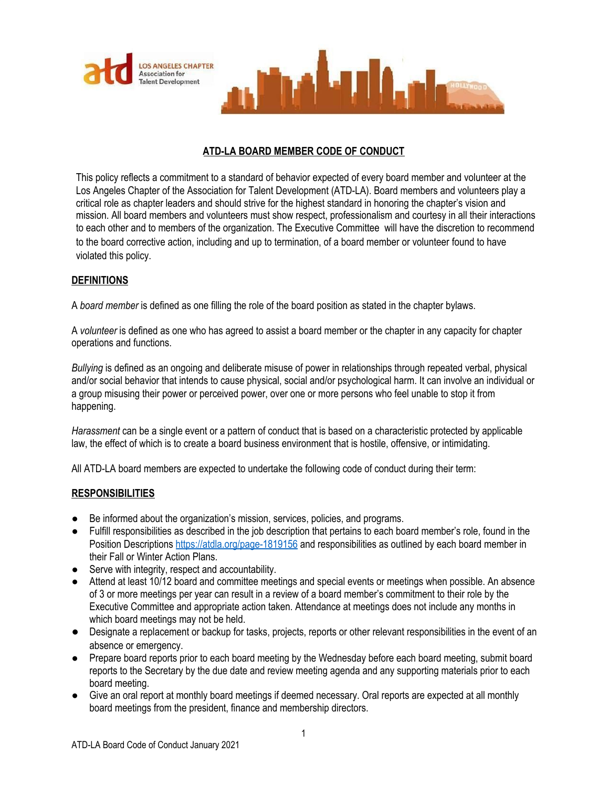



# **ATD-LA BOARD MEMBER CODE OF CONDUCT**

This policy reflects a commitment to a standard of behavior expected of every board member and volunteer at the Los Angeles Chapter of the Association for Talent Development (ATD-LA). Board members and volunteers play a critical role as chapter leaders and should strive for the highest standard in honoring the chapter's vision and mission. All board members and volunteers must show respect, professionalism and courtesy in all their interactions to each other and to members of the organization. The Executive Committee will have the discretion to recommend to the board corrective action, including and up to termination, of a board member or volunteer found to have violated this policy.

# **DEFINITIONS**

A *board member* is defined as one filling the role of the board position as stated in the chapter bylaws.

A *volunteer* is defined as one who has agreed to assist a board member or the chapter in any capacity for chapter operations and functions.

*Bullying* is defined as an ongoing and deliberate misuse of power in relationships through repeated verbal, physical and/or social behavior that intends to cause physical, social and/or psychological harm. It can involve an individual or a group misusing their power or perceived power, over one or more persons who feel unable to stop it from happening.

*Harassment* can be a single event or a pattern of conduct that is based on a characteristic protected by applicable law, the effect of which is to create a board business environment that is hostile, offensive, or intimidating.

All ATD-LA board members are expected to undertake the following code of conduct during their term:

# **RESPONSIBILITIES**

- Be informed about the organization's mission, services, policies, and programs.
- Fulfill responsibilities as described in the job description that pertains to each board member's role, found in the Position Descriptions <https://atdla.org/page-1819156> and responsibilities as outlined by each board member in their Fall or Winter Action Plans.
- Serve with integrity, respect and accountability.
- Attend at least 10/12 board and committee meetings and special events or meetings when possible. An absence of 3 or more meetings per year can result in a review of a board member's commitment to their role by the Executive Committee and appropriate action taken. Attendance at meetings does not include any months in which board meetings may not be held.
- Designate a replacement or backup for tasks, projects, reports or other relevant responsibilities in the event of an absence or emergency.
- Prepare board reports prior to each board meeting by the Wednesday before each board meeting, submit board reports to the Secretary by the due date and review meeting agenda and any supporting materials prior to each board meeting.
- Give an oral report at monthly board meetings if deemed necessary. Oral reports are expected at all monthly board meetings from the president, finance and membership directors.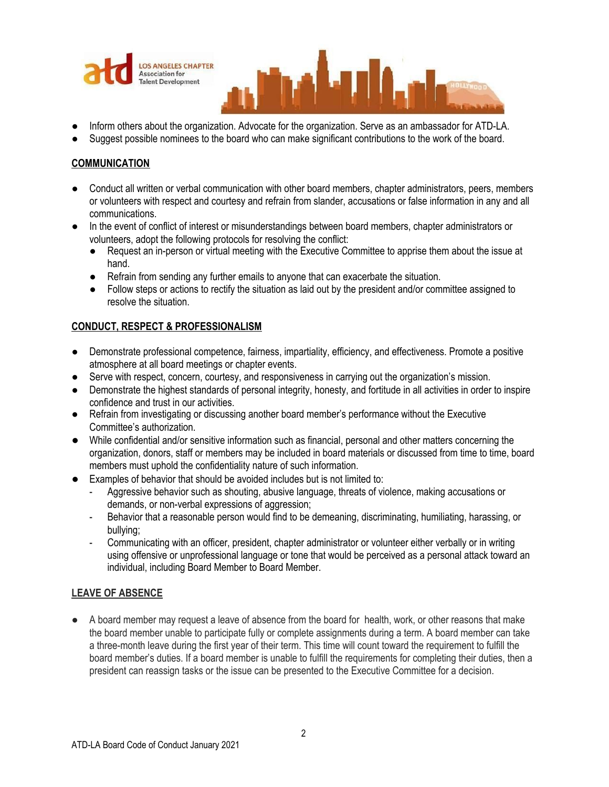



- Inform others about the organization. Advocate for the organization. Serve as an ambassador for ATD-LA.
- Suggest possible nominees to the board who can make significant contributions to the work of the board.

## **COMMUNICATION**

- Conduct all written or verbal communication with other board members, chapter administrators, peers, members or volunteers with respect and courtesy and refrain from slander, accusations or false information in any and all communications.
- In the event of conflict of interest or misunderstandings between board members, chapter administrators or volunteers, adopt the following protocols for resolving the conflict:
	- Request an in-person or virtual meeting with the Executive Committee to apprise them about the issue at hand.
	- Refrain from sending any further emails to anyone that can exacerbate the situation.
	- Follow steps or actions to rectify the situation as laid out by the president and/or committee assigned to resolve the situation.

## **CONDUCT, RESPECT & PROFESSIONALISM**

- Demonstrate professional competence, fairness, impartiality, efficiency, and effectiveness. Promote a positive atmosphere at all board meetings or chapter events.
- Serve with respect, concern, courtesy, and responsiveness in carrying out the organization's mission.
- Demonstrate the highest standards of personal integrity, honesty, and fortitude in all activities in order to inspire confidence and trust in our activities.
- Refrain from investigating or discussing another board member's performance without the Executive Committee's authorization.
- While confidential and/or sensitive information such as financial, personal and other matters concerning the organization, donors, staff or members may be included in board materials or discussed from time to time, board members must uphold the confidentiality nature of such information.
- Examples of behavior that should be avoided includes but is not limited to:
	- Aggressive behavior such as shouting, abusive language, threats of violence, making accusations or demands, or non-verbal expressions of aggression;
	- Behavior that a reasonable person would find to be demeaning, discriminating, humiliating, harassing, or bullying;
	- Communicating with an officer, president, chapter administrator or volunteer either verbally or in writing using offensive or unprofessional language or tone that would be perceived as a personal attack toward an individual, including Board Member to Board Member.

#### **LEAVE OF ABSENCE**

● A board member may request a leave of absence from the board for health, work, or other reasons that make the board member unable to participate fully or complete assignments during a term. A board member can take a three-month leave during the first year of their term. This time will count toward the requirement to fulfill the board member's duties. If a board member is unable to fulfill the requirements for completing their duties, then a president can reassign tasks or the issue can be presented to the Executive Committee for a decision.